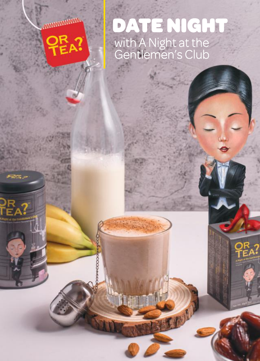**MANAMANAMAN** 

PR<br>TEA?

 $E_{\rm A}$  ?

XXXX

# DATE NIGHT with A Night at the Gentlemen's Club

C. P. R.